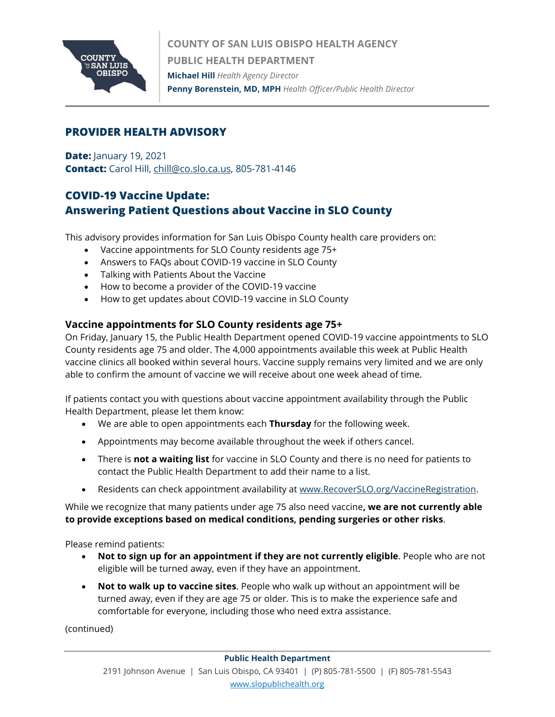

## **PROVIDER HEALTH ADVISORY**

**Date:** January 19, 2021 **Contact:** Carol Hill[, chill@co.slo.ca.us,](mailto:chill@co.slo.ca.us) 805-781-4146

# **COVID-19 Vaccine Update: Answering Patient Questions about Vaccine in SLO County**

This advisory provides information for San Luis Obispo County health care providers on:

- Vaccine appointments for SLO County residents age 75+
- Answers to FAQs about COVID-19 vaccine in SLO County
- Talking with Patients About the Vaccine
- How to become a provider of the COVID-19 vaccine
- How to get updates about COVID-19 vaccine in SLO County

## **Vaccine appointments for SLO County residents age 75+**

On Friday, January 15, the Public Health Department opened COVID-19 vaccine appointments to SLO County residents age 75 and older. The 4,000 appointments available this week at Public Health vaccine clinics all booked within several hours. Vaccine supply remains very limited and we are only able to confirm the amount of vaccine we will receive about one week ahead of time.

If patients contact you with questions about vaccine appointment availability through the Public Health Department, please let them know:

- We are able to open appointments each **Thursday** for the following week.
- Appointments may become available throughout the week if others cancel.
- There is **not a waiting list** for vaccine in SLO County and there is no need for patients to contact the Public Health Department to add their name to a list.
- Residents can check appointment availability at [www.RecoverSLO.org/VaccineRegistration.](http://www.recoverslo.org/VaccineRegistration)

While we recognize that many patients under age 75 also need vaccine**, we are not currently able to provide exceptions based on medical conditions, pending surgeries or other risks**.

Please remind patients:

- **Not to sign up for an appointment if they are not currently eligible**. People who are not eligible will be turned away, even if they have an appointment.
- **Not to walk up to vaccine sites**. People who walk up without an appointment will be turned away, even if they are age 75 or older. This is to make the experience safe and comfortable for everyone, including those who need extra assistance.

(continued)